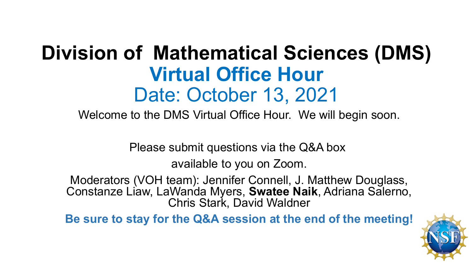# **Division of Mathematical Sciences (DMS) Virtual Office Hour** Date: October 13, 2021

Welcome to the DMS Virtual Office Hour. We will begin soon.

Please submit questions via the Q&A box

available to you on Zoom.

Moderators (VOH team): Jennifer Connell, J. Matthew Douglass, Constanze Liaw, LaWanda Myers, **Swatee Naik**, Adriana Salerno, Chris Stark, David Waldner

**Be sure to stay for the Q&A session at the end of the meeting!**

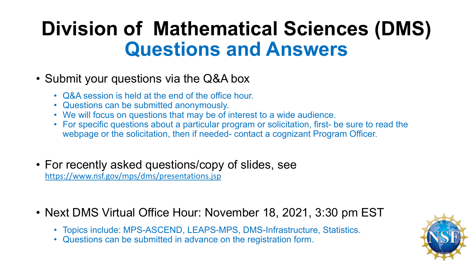# **Division of Mathematical Sciences (DMS) Questions and Answers**

- Submit your questions via the Q&A box
	- Q&A session is held at the end of the office hour.
	- Questions can be submitted anonymously.
	- We will focus on questions that may be of interest to a wide audience.
	- For specific questions about a particular program or solicitation, first- be sure to read the webpage or the solicitation, then if needed- contact a cognizant Program Officer.
- For recently asked questions/copy of slides, see <https://www.nsf.gov/mps/dms/presentations.jsp>
- Next DMS Virtual Office Hour: November 18, 2021, 3:30 pm EST
	- Topics include: MPS-ASCEND, LEAPS-MPS, DMS-Infrastructure, Statistics.
	- Questions can be submitted in advance on the registration form.

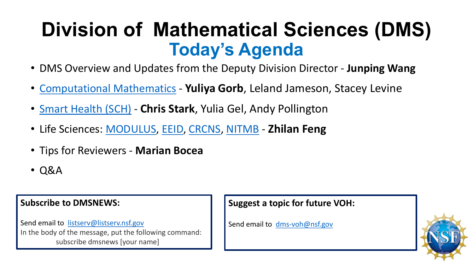# **Division of Mathematical Sciences (DMS) Today's Agenda**

- DMS Overview and Updates from the Deputy Division Director **Junping Wang**
- [Computational Mathematics](https://beta.nsf.gov/funding/opportunities/computational-mathematics) **Yuliya Gorb**, Leland Jameson, Stacey Levine
- [Smart Health \(SCH\)](https://www.nsf.gov/funding/pgm_summ.jsp?pims_id=504739) **Chris Stark**, Yulia Gel, Andy Pollington
- Life Sciences: [MODULUS](https://www.nsf.gov/pubs/2021/nsf21069/nsf21069.jsp), [EEID,](https://beta.nsf.gov/funding/opportunities/ecology-and-evolution-infectious-diseases-eeid) [CRCNS](https://beta.nsf.gov/funding/opportunities/collaborative-research-computational-neuroscience-crcns), [NITMB](https://beta.nsf.gov/funding/opportunities/nsf-simons-collaboration-national-institute-theory-and-mathematics-biology) **Zhilan Feng**
- Tips for Reviewers **Marian Bocea**
- Q&A

#### **Subscribe to DMSNEWS:**

Send email to [listserv@listserv.nsf.gov](mailto:listserv@listserv.nsf.gov) In the body of the message, put the following command: subscribe dmsnews [your name]

#### **Suggest a topic for future VOH:**

Send email to [dms-voh@nsf.gov](mailto:dms-voh@nsf.gov)

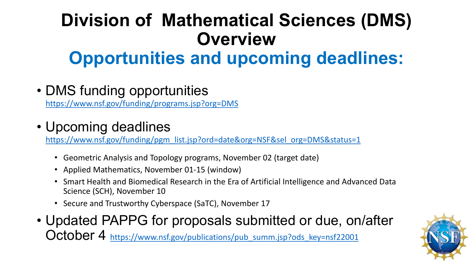## **Division of Mathematical Sciences (DMS) Overview Opportunities and upcoming deadlines:**

• DMS funding opportunities

<https://www.nsf.gov/funding/programs.jsp?org=DMS>

### • Upcoming deadlines

[https://www.nsf.gov/funding/pgm\\_list.jsp?ord=date&org=NSF&sel\\_org=DMS&status=1](https://www.nsf.gov/funding/pgm_list.jsp?ord=date&org=NSF&sel_org=DMS&status=1)

- Geometric Analysis and Topology programs, November 02 (target date)
- Applied Mathematics, November 01-15 (window)
- Smart Health and Biomedical Research in the Era of Artificial Intelligence and Advanced Data Science (SCH), November 10
- Secure and Trustworthy Cyberspace (SaTC), November 17
- Updated PAPPG for proposals submitted or due, on/after October 4 [https://www.nsf.gov/publications/pub\\_summ.jsp?ods\\_key=nsf22001](https://www.nsf.gov/publications/pub_summ.jsp?ods_key=nsf22001)

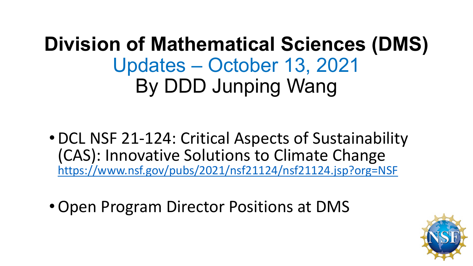# **Division of Mathematical Sciences (DMS)** Updates – October 13, 2021 By DDD Junping Wang

- •DCL NSF 21-124: Critical Aspects of Sustainability (CAS): Innovative Solutions to Climate Change <https://www.nsf.gov/pubs/2021/nsf21124/nsf21124.jsp?org=NSF>
- •Open Program Director Positions at DMS

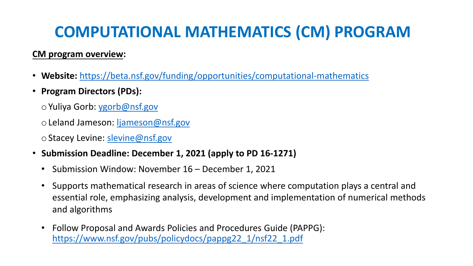## **COMPUTATIONAL MATHEMATICS (CM) PROGRAM**

#### **CM program overview:**

- **Website:** [https://beta.nsf.gov/funding/opportunities/computational-mathematics](https://nsf.zoomgov.com/j/16051556053?pwd=NXlmYzRRZ3VEdjF6OEVKSTIyQm1Odz09)
- **Program Directors (PDs):**
	- oYuliya Gorb: [ygorb@nsf.gov](mailto:ygorb@nsf.gov)
	- o Leland Jameson: [ljameson@nsf.gov](mailto:ljameson@nsf.gov)
	- o Stacey Levine: [slevine@nsf.gov](mailto:slevine@nsf.gov)
- **Submission Deadline: December 1, 2021 (apply to PD 16-1271)**
	- Submission Window: November 16 December 1, 2021
	- Supports mathematical research in areas of science where computation plays a central and essential role, emphasizing analysis, development and implementation of numerical methods and algorithms
	- Follow Proposal and Awards Policies and Procedures Guide (PAPPG): [https://www.nsf.gov/pubs/policydocs/pappg22\\_1/nsf22\\_1.pdf](https://www.nsf.gov/pubs/policydocs/pappg22_1/nsf22_1.pdf)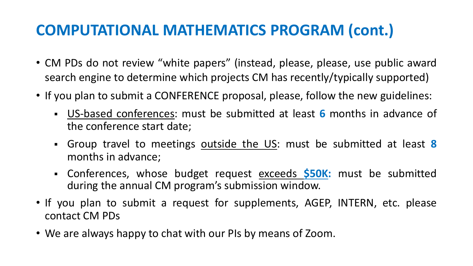### **COMPUTATIONAL MATHEMATICS PROGRAM (cont.)**

- CM PDs do not review "white papers" (instead, please, please, use public award search engine to determine which projects CM has recently/typically supported)
- If you plan to submit a CONFERENCE proposal, please, follow the new guidelines:
	- US-based conferences: must be submitted at least **6** months in advance of the conference start date;
	- Group travel to meetings outside the US: must be submitted at least **8** months in advance;
	- Conferences, whose budget request exceeds **\$50K:** must be submitted during the annual CM program's submission window.
- If you plan to submit a request for supplements, AGEP, INTERN, etc. please contact CM PDs
- We are always happy to chat with our PIs by means of Zoom.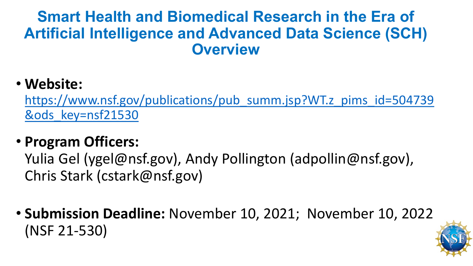#### **Smart Health and Biomedical Research in the Era of Artificial Intelligence and Advanced Data Science (SCH) Overview**

#### • **Website:**

[https://www.nsf.gov/publications/pub\\_summ.jsp?WT.z\\_pims\\_id=504739](https://www.nsf.gov/publications/pub_summ.jsp?WT.z_pims_id=504739&ods_key=nsf21530) &ods\_key=nsf21530

#### • **Program Officers:**

Yulia Gel (ygel@nsf.gov), Andy Pollington (adpollin@nsf.gov), Chris Stark (cstark@nsf.gov)

• **Submission Deadline:** November 10, 2021; November 10, 2022 (NSF 21-530)

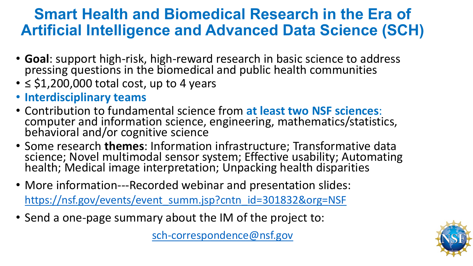### **Smart Health and Biomedical Research in the Era of Artificial Intelligence and Advanced Data Science (SCH)**

- **Goal**: support high-risk, high-reward research in basic science to address pressing questions in the biomedical and public health communities
- $\cdot$   $\leq$  \$1,200,000 total cost, up to 4 years
- **Interdisciplinary teams**
- Contribution to fundamental science from **at least two NSF sciences**: computer and information science, engineering, mathematics/statistics, behavioral and/or cognitive science
- Some research **themes**: Information infrastructure; Transformative data science; Novel multimodal sensor system; Effective usability; Automating health; Medical image interpretation; Unpacking health disparities
- More information---Recorded webinar and presentation slides:

[https://nsf.gov/events/event\\_summ.jsp?cntn\\_id=301832&org=NSF](https://nsf.gov/events/event_summ.jsp?cntn_id=301832&org=NSF)

• Send a one-page summary about the IM of the project to:

[sch-correspondence@nsf.gov](mailto:sch-correspondence@nsf.gov)

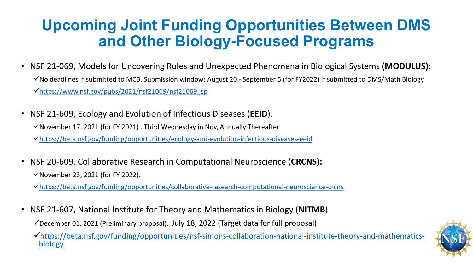### **Upcoming Joint Funding Opportunities Between DMS and Other Biology-Focused Programs**

- NSF 21-069, Models for Uncovering Rules and Unexpected Phenomena in Biological Systems (**MODULUS):**   $\checkmark$  No deadlines if submitted to MCB. Submission window: August 20 - September 5 (for FY2022) if submitted to DMS/Math Biology <https://www.nsf.gov/pubs/2021/nsf21069/nsf21069.jsp>
- NSF 21-609, Ecology and Evolution of Infectious Diseases (**EEID**):  $\checkmark$  November 17, 2021 (for FY 2021). Third Wednesday in Nov, Annually Thereafter <https://beta.nsf.gov/funding/opportunities/ecology-and-evolution-infectious-diseases-eeid>
- NSF 20-609, Collaborative Research in Computational Neuroscience (**CRCNS):**   $\checkmark$  November 23, 2021 (for FY 2022).

<https://beta.nsf.gov/funding/opportunities/collaborative-research-computational-neuroscience-crcns>

• NSF 21-607, National Institute for Theory and Mathematics in Biology (**NITMB**)

 $\checkmark$  December 01, 2021 (Preliminary proposal). July 18, 2022 (Target data for full proposal)

[https://beta.nsf.gov/funding/opportunities/nsf-simons-collaboration-national-institute-theory-and-mathematics-](https://beta.nsf.gov/funding/opportunities/nsf-simons-collaboration-national-institute-theory-and-mathematics-biology) biology

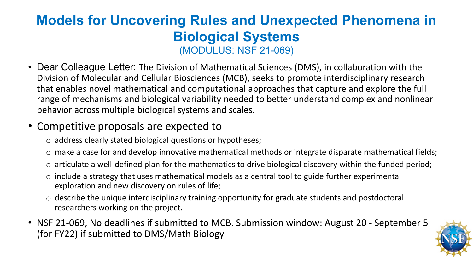#### **Models for Uncovering Rules and Unexpected Phenomena in Biological Systems** (MODULUS: NSF 21-069)

• Dear Colleague Letter: The Division of Mathematical Sciences (DMS), in collaboration with the Division of Molecular and Cellular Biosciences (MCB), seeks to promote interdisciplinary research that enables novel mathematical and computational approaches that capture and explore the full range of mechanisms and biological variability needed to better understand complex and nonlinear behavior across multiple biological systems and scales.

#### • Competitive proposals are expected to

- o address clearly stated biological questions or hypotheses;
- o make a case for and develop innovative mathematical methods or integrate disparate mathematical fields;
- o articulate a well-defined plan for the mathematics to drive biological discovery within the funded period;
- $\circ$  include a strategy that uses mathematical models as a central tool to guide further experimental exploration and new discovery on rules of life;
- o describe the unique interdisciplinary training opportunity for graduate students and postdoctoral researchers working on the project.
- NSF 21-069, No deadlines if submitted to MCB. Submission window: August 20 September 5 (for FY22) if submitted to DMS/Math Biology

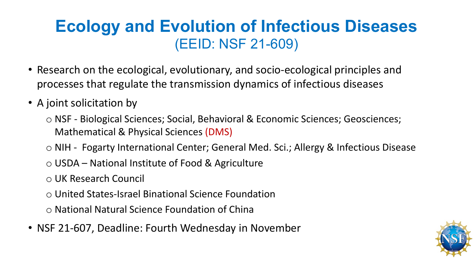### **Ecology and Evolution of Infectious Diseases** (EEID: NSF 21-609)

- Research on the ecological, evolutionary, and socio-ecological principles and processes that regulate the transmission dynamics of infectious diseases
- A joint solicitation by
	- o NSF Biological Sciences; Social, Behavioral & Economic Sciences; Geosciences; Mathematical & Physical Sciences (DMS)
	- o NIH Fogarty International Center; General Med. Sci.; Allergy & Infectious Disease
	- o USDA National Institute of Food & Agriculture
	- o UK Research Council
	- o United States-Israel Binational Science Foundation

o National Natural Science Foundation of China

• NSF 21-607, Deadline: Fourth Wednesday in November

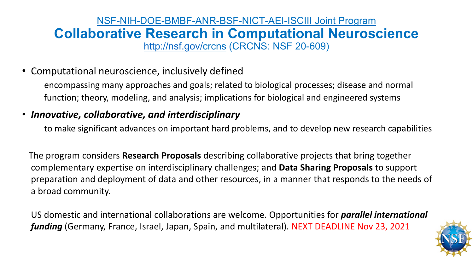#### NSF-NIH-DOE-BMBF-ANR-BSF-NICT-AEI-ISCIII Joint Program **Collaborative Research in Computational Neuroscience** <http://nsf.gov/crcns> (CRCNS: NSF 20-609)

• Computational neuroscience, inclusively defined

encompassing many approaches and goals; related to biological processes; disease and normal function; theory, modeling, and analysis; implications for biological and engineered systems

#### • *Innovative, collaborative, and interdisciplinary*

to make significant advances on important hard problems, and to develop new research capabilities

The program considers **Research Proposals** describing collaborative projects that bring together complementary expertise on interdisciplinary challenges; and **Data Sharing Proposals** to support preparation and deployment of data and other resources, in a manner that responds to the needs of a broad community.

US domestic and international collaborations are welcome. Opportunities for *parallel international funding* (Germany, France, Israel, Japan, Spain, and multilateral). NEXT DEADLINE Nov 23, 2021

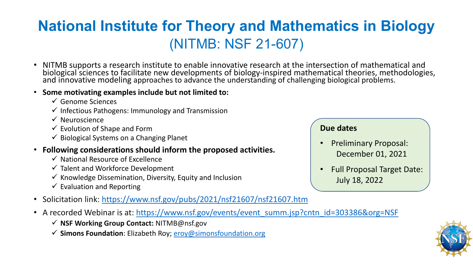### **National Institute for Theory and Mathematics in Biology** (NITMB: NSF 21-607)

- NITMB supports a research institute to enable innovative research at the intersection of mathematical and biological sciences to facilitate new developments of biology-inspired mathematical theories, methodologies, and innovative modeling approaches to advance the understanding of challenging biological problems.
- **Some motivating examples include but not limited to:**
	- $\checkmark$  Genome Sciences
	- $\checkmark$  Infectious Pathogens: Immunology and Transmission
	- $\checkmark$  Neuroscience
	- $\checkmark$  Evolution of Shape and Form
	- $\checkmark$  Biological Systems on a Changing Planet
- **Following considerations should inform the proposed activities.**
	- $\checkmark$  National Resource of Excellence
	- $\checkmark$  Talent and Workforce Development
	- $\checkmark$  Knowledge Dissemination, Diversity, Equity and Inclusion
	- $\checkmark$  Evaluation and Reporting
- Solicitation link: <https://www.nsf.gov/pubs/2021/nsf21607/nsf21607.htm>
- A recorded Webinar is at: [https://www.nsf.gov/events/event\\_summ.jsp?cntn\\_id=303386&org=NSF](https://www.nsf.gov/events/event_summ.jsp?cntn_id=303386&org=NSF)
	- **NSF Working Group Contact:** NITMB@nsf.gov
	- **Simons Foundation**: Elizabeth Roy; [eroy@simonsfoundation.org](mailto:eroy@simonsfoundation.org)

#### **Due dates**

- Preliminary Proposal: December 01, 2021
- Full Proposal Target Date: July 18, 2022

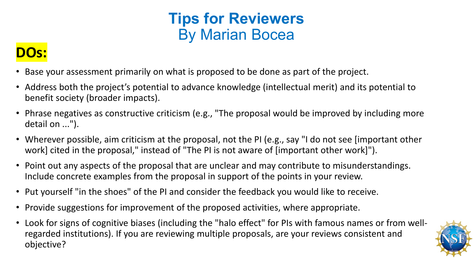### **Tips for Reviewers**  By Marian Bocea

### **DOs:**

- Base your assessment primarily on what is proposed to be done as part of the project.
- Address both the project's potential to advance knowledge (intellectual merit) and its potential to benefit society (broader impacts).
- Phrase negatives as constructive criticism (e.g., "The proposal would be improved by including more detail on ...").
- Wherever possible, aim criticism at the proposal, not the PI (e.g., say "I do not see [important other work] cited in the proposal," instead of "The PI is not aware of [important other work]").
- Point out any aspects of the proposal that are unclear and may contribute to misunderstandings. Include concrete examples from the proposal in support of the points in your review.
- Put yourself "in the shoes" of the PI and consider the feedback you would like to receive.
- Provide suggestions for improvement of the proposed activities, where appropriate.
- Look for signs of cognitive biases (including the "halo effect" for PIs with famous names or from wellregarded institutions). If you are reviewing multiple proposals, are your reviews consistent and objective?

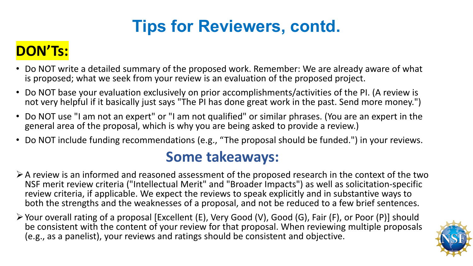## **Tips for Reviewers, contd.**

### **DON'Ts:**

- Do NOT write a detailed summary of the proposed work. Remember: We are already aware of what is proposed; what we seek from your review is an evaluation of the proposed project.
- Do NOT base your evaluation exclusively on prior accomplishments/activities of the PI. (A review is not very helpful if it basically just says "The PI has done great work in the past. Send more money.")
- Do NOT use "I am not an expert" or "I am not qualified" or similar phrases. (You are an expert in the general area of the proposal, which is why you are being asked to provide a review.)
- Do NOT include funding recommendations (e.g., "The proposal should be funded.") in your reviews.

#### **Some takeaways:**

- $\triangleright$  A review is an informed and reasoned assessment of the proposed research in the context of the two NSF merit review criteria ("Intellectual Merit" and "Broader Impacts") as well as solicitation-specific review criteria, if applicable. We expect the reviews to speak explicitly and in substantive ways to both the strengths and the weaknesses of a proposal, and not be reduced to a few brief sentences.
- Your overall rating of a proposal [Excellent (E), Very Good (V), Good (G), Fair (F), or Poor (P)] should be consistent with the content of your review for that proposal. When reviewing multiple proposals (e.g., as a panelist), your reviews and ratings should be consistent and objective.

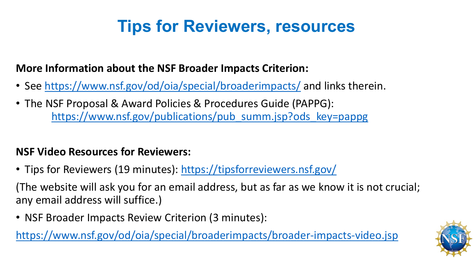## **Tips for Reviewers, resources**

#### **More Information about the NSF Broader Impacts Criterion:**

- See <https://www.nsf.gov/od/oia/special/broaderimpacts/> and links therein.
- The NSF Proposal & Award Policies & Procedures Guide (PAPPG): [https://www.nsf.gov/publications/pub\\_summ.jsp?ods\\_key=pappg](https://www.nsf.gov/publications/pub_summ.jsp?ods_key=pappg)

#### **NSF Video Resources for Reviewers:**

• Tips for Reviewers (19 minutes): <https://tipsforreviewers.nsf.gov/>

(The website will ask you for an email address, but as far as we know it is not crucial; any email address will suffice.)

• NSF Broader Impacts Review Criterion (3 minutes):

<https://www.nsf.gov/od/oia/special/broaderimpacts/broader-impacts-video.jsp>

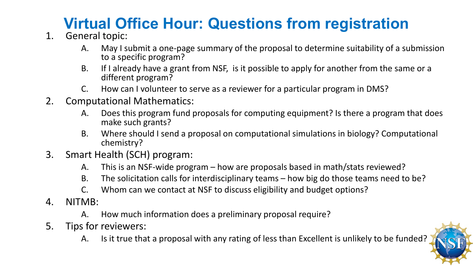## **Virtual Office Hour: Questions from registration**

- 1. General topic:
	- A. May I submit a one-page summary of the proposal to determine suitability of a submission to a specific program?
	- B. If I already have a grant from NSF, is it possible to apply for another from the same or a different program?
	- C. How can I volunteer to serve as a reviewer for a particular program in DMS?
- 2. Computational Mathematics:
	- A. Does this program fund proposals for computing equipment? Is there a program that does make such grants?
	- B. Where should I send a proposal on computational simulations in biology? Computational chemistry?
- 3. Smart Health (SCH) program:
	- A. This is an NSF-wide program how are proposals based in math/stats reviewed?
	- B. The solicitation calls for interdisciplinary teams how big do those teams need to be?
	- C. Whom can we contact at NSF to discuss eligibility and budget options?
- 4. NITMB:
	- A. How much information does a preliminary proposal require?
- 5. Tips for reviewers:
	- A. Is it true that a proposal with any rating of less than Excellent is unlikely to be funded?